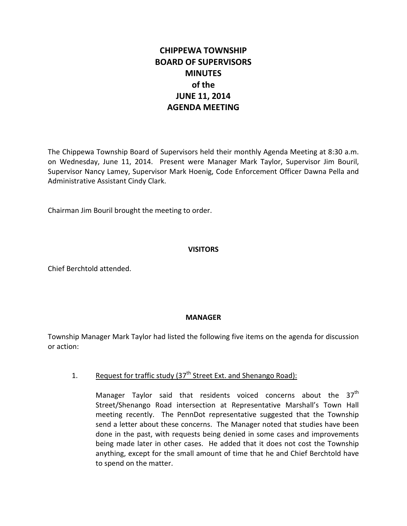# **CHIPPEWA TOWNSHIP BOARD OF SUPERVISORS MINUTES of the JUNE 11, 2014 AGENDA MEETING**

The Chippewa Township Board of Supervisors held their monthly Agenda Meeting at 8:30 a.m. on Wednesday, June 11, 2014. Present were Manager Mark Taylor, Supervisor Jim Bouril, Supervisor Nancy Lamey, Supervisor Mark Hoenig, Code Enforcement Officer Dawna Pella and Administrative Assistant Cindy Clark.

Chairman Jim Bouril brought the meeting to order.

#### **VISITORS**

Chief Berchtold attended.

#### **MANAGER**

Township Manager Mark Taylor had listed the following five items on the agenda for discussion or action:

# 1. Request for traffic study  $(37<sup>th</sup>$  Street Ext. and Shenango Road):

Manager Taylor said that residents voiced concerns about the  $37<sup>th</sup>$ Street/Shenango Road intersection at Representative Marshall's Town Hall meeting recently. The PennDot representative suggested that the Township send a letter about these concerns. The Manager noted that studies have been done in the past, with requests being denied in some cases and improvements being made later in other cases. He added that it does not cost the Township anything, except for the small amount of time that he and Chief Berchtold have to spend on the matter.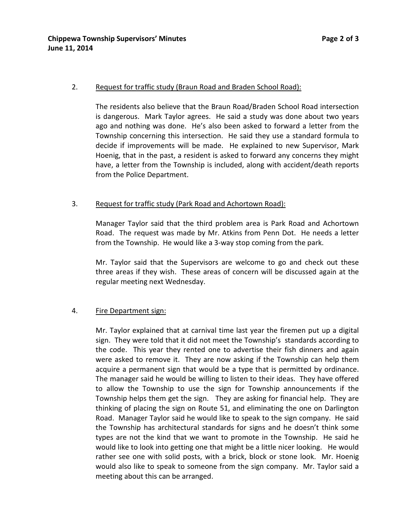#### 2. Request for traffic study (Braun Road and Braden School Road):

The residents also believe that the Braun Road/Braden School Road intersection is dangerous. Mark Taylor agrees. He said a study was done about two years ago and nothing was done. He's also been asked to forward a letter from the Township concerning this intersection. He said they use a standard formula to decide if improvements will be made. He explained to new Supervisor, Mark Hoenig, that in the past, a resident is asked to forward any concerns they might have, a letter from the Township is included, along with accident/death reports from the Police Department.

#### 3. Request for traffic study (Park Road and Achortown Road):

Manager Taylor said that the third problem area is Park Road and Achortown Road. The request was made by Mr. Atkins from Penn Dot. He needs a letter from the Township. He would like a 3-way stop coming from the park.

Mr. Taylor said that the Supervisors are welcome to go and check out these three areas if they wish. These areas of concern will be discussed again at the regular meeting next Wednesday.

#### 4. Fire Department sign:

Mr. Taylor explained that at carnival time last year the firemen put up a digital sign. They were told that it did not meet the Township's standards according to the code. This year they rented one to advertise their fish dinners and again were asked to remove it. They are now asking if the Township can help them acquire a permanent sign that would be a type that is permitted by ordinance. The manager said he would be willing to listen to their ideas. They have offered to allow the Township to use the sign for Township announcements if the Township helps them get the sign. They are asking for financial help. They are thinking of placing the sign on Route 51, and eliminating the one on Darlington Road. Manager Taylor said he would like to speak to the sign company. He said the Township has architectural standards for signs and he doesn't think some types are not the kind that we want to promote in the Township. He said he would like to look into getting one that might be a little nicer looking. He would rather see one with solid posts, with a brick, block or stone look. Mr. Hoenig would also like to speak to someone from the sign company. Mr. Taylor said a meeting about this can be arranged.